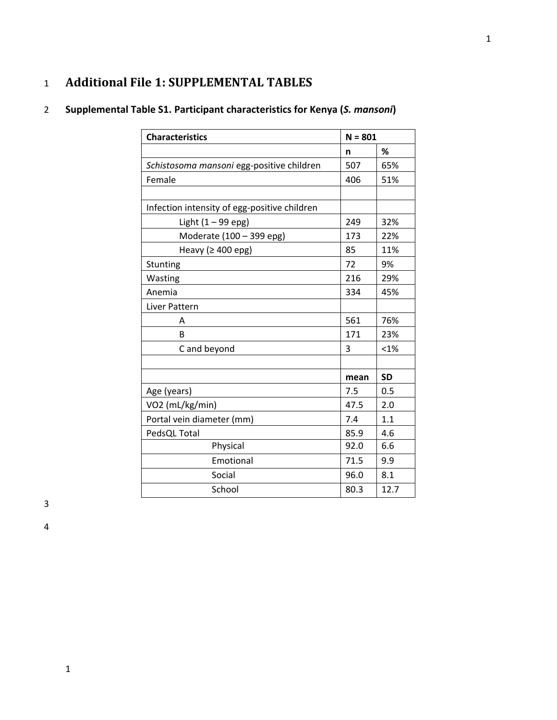## 1 **Additional File 1: SUPPLEMENTAL TABLES**

# 2 **Supplemental Table S1. Participant characteristics for Kenya (***S. mansoni***)**

| <b>Characteristics</b>                       |      | $N = 801$ |  |
|----------------------------------------------|------|-----------|--|
|                                              | n    | %         |  |
| Schistosoma mansoni egg-positive children    | 507  | 65%       |  |
| Female                                       | 406  | 51%       |  |
|                                              |      |           |  |
| Infection intensity of egg-positive children |      |           |  |
| Light $(1 - 99$ epg)                         | 249  | 32%       |  |
| Moderate (100 - 399 epg)                     | 173  | 22%       |  |
| Heavy ( $\geq 400$ epg)                      | 85   | 11%       |  |
| Stunting                                     | 72   | 9%        |  |
| Wasting                                      | 216  | 29%       |  |
| Anemia                                       | 334  | 45%       |  |
| Liver Pattern                                |      |           |  |
| Α                                            | 561  | 76%       |  |
| B                                            | 171  | 23%       |  |
| C and beyond                                 | 3    | < 1%      |  |
|                                              |      |           |  |
|                                              | mean | <b>SD</b> |  |
| Age (years)                                  | 7.5  | 0.5       |  |
| VO2 (mL/kg/min)                              | 47.5 | 2.0       |  |
| Portal vein diameter (mm)                    | 7.4  | 1.1       |  |
| PedsQL Total                                 | 85.9 | 4.6       |  |
| Physical                                     | 92.0 | 6.6       |  |
| Emotional                                    | 71.5 | 9.9       |  |
| Social                                       | 96.0 | 8.1       |  |
| School                                       | 80.3 | 12.7      |  |

3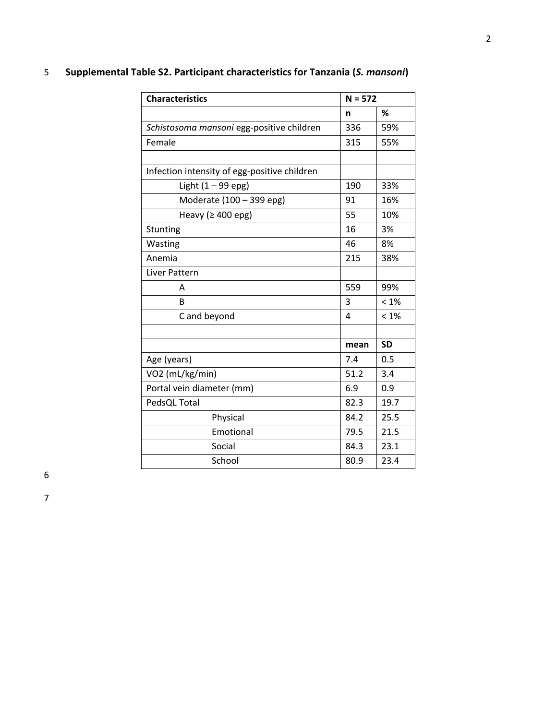# 5 **Supplemental Table S2. Participant characteristics for Tanzania (***S. mansoni***) Characteristics** N = 572 **n % Schistosoma mansoni egg-positive children** 336 59% Female 315 55% the contract of the contract of the contract of the contract of the contract of the contract of the contract of

| Female                                       | 315  | 55%       |
|----------------------------------------------|------|-----------|
|                                              |      |           |
| Infection intensity of egg-positive children |      |           |
| Light $(1 - 99$ epg)                         | 190  | 33%       |
| Moderate (100 - 399 epg)                     | 91   | 16%       |
| Heavy ( $\geq 400$ epg)                      | 55   | 10%       |
| Stunting                                     | 16   | 3%        |
| Wasting                                      | 46   | 8%        |
| Anemia                                       | 215  | 38%       |
| Liver Pattern                                |      |           |
| Α                                            | 559  | 99%       |
| B                                            | 3    | $< 1\%$   |
| C and beyond                                 | 4    | $< 1\%$   |
|                                              |      |           |
|                                              | mean | <b>SD</b> |
| Age (years)                                  | 7.4  | 0.5       |
| VO2 (mL/kg/min)                              | 51.2 | 3.4       |
| Portal vein diameter (mm)                    | 6.9  | 0.9       |
| PedsQL Total                                 | 82.3 | 19.7      |
| Physical                                     | 84.2 | 25.5      |
| Emotional                                    | 79.5 | 21.5      |
| Social                                       | 84.3 | 23.1      |
| School                                       | 80.9 | 23.4      |

6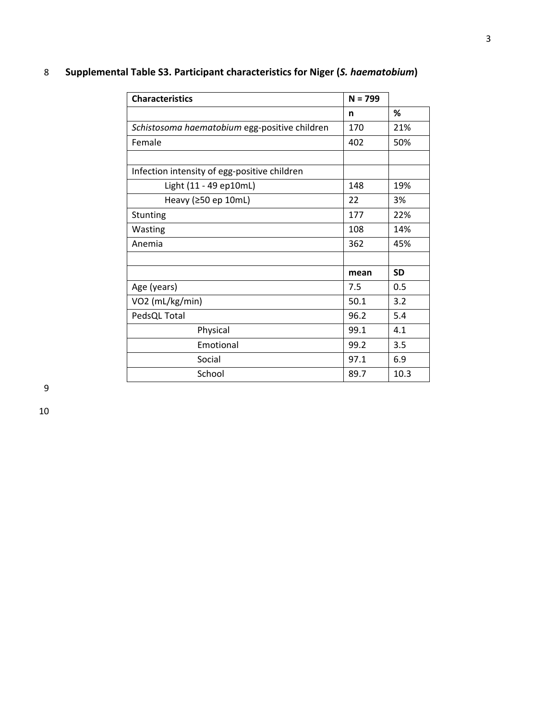| <b>Characteristics</b>                        | $N = 799$ |           |
|-----------------------------------------------|-----------|-----------|
|                                               | n         | ℅         |
| Schistosoma haematobium egg-positive children | 170       | 21%       |
| Female                                        | 402       | 50%       |
|                                               |           |           |
| Infection intensity of egg-positive children  |           |           |
| Light (11 - 49 ep10mL)                        | 148       | 19%       |
| Heavy (≥50 ep 10mL)                           | 22        | 3%        |
| Stunting                                      | 177       | 22%       |
| Wasting                                       | 108       | 14%       |
| Anemia                                        | 362       | 45%       |
|                                               |           |           |
|                                               | mean      | <b>SD</b> |
| Age (years)                                   | 7.5       | 0.5       |
| VO2 (mL/kg/min)                               | 50.1      | 3.2       |
| PedsQL Total                                  | 96.2      | 5.4       |
| Physical                                      | 99.1      | 4.1       |
| Emotional                                     | 99.2      | 3.5       |
| Social                                        | 97.1      | 6.9       |
| School                                        | 89.7      | 10.3      |

## 8 **Supplemental Table S3. Participant characteristics for Niger (***S. haematobium***)**

9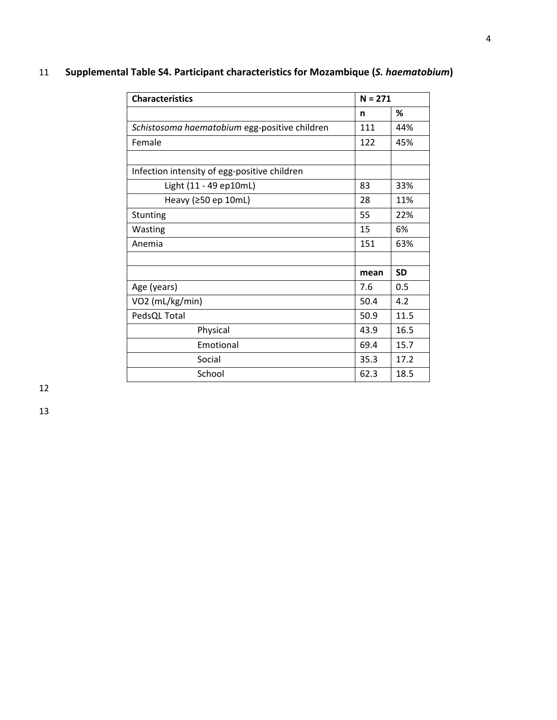| <b>Characteristics</b>                        |      | $N = 271$ |  |
|-----------------------------------------------|------|-----------|--|
|                                               | n    | ℅         |  |
| Schistosoma haematobium egg-positive children | 111  | 44%       |  |
| Female                                        | 122  | 45%       |  |
| Infection intensity of egg-positive children  |      |           |  |
| Light (11 - 49 ep10mL)                        | 83   | 33%       |  |
| Heavy ( $\geq$ 50 ep 10mL)                    | 28   | 11%       |  |
| Stunting                                      | 55   | 22%       |  |
| Wasting                                       | 15   | 6%        |  |
| Anemia                                        | 151  | 63%       |  |
|                                               | mean | <b>SD</b> |  |
| Age (years)                                   | 7.6  | 0.5       |  |
| VO2 (mL/kg/min)                               | 50.4 | 4.2       |  |
| PedsQL Total                                  | 50.9 | 11.5      |  |
| Physical                                      | 43.9 | 16.5      |  |
| Emotional                                     | 69.4 | 15.7      |  |
| Social                                        | 35.3 | 17.2      |  |
| School                                        | 62.3 | 18.5      |  |

## 11 **Supplemental Table S4. Participant characteristics for Mozambique (***S. haematobium***)**

12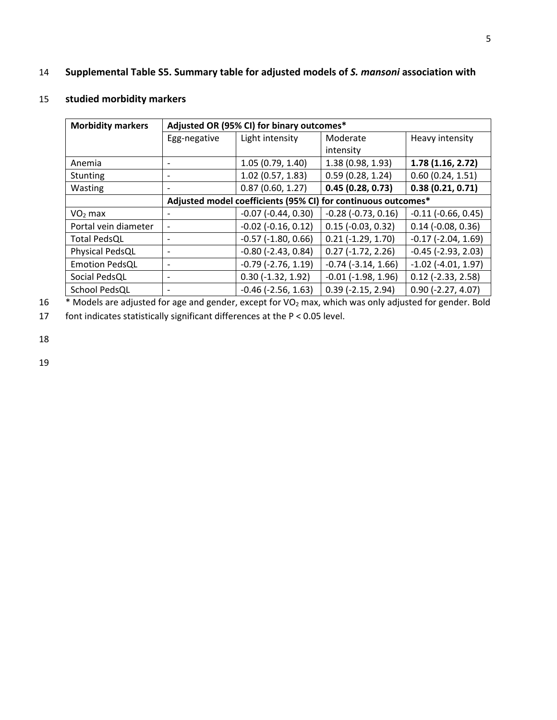### 14 **Supplemental Table S5. Summary table for adjusted models of** *S. mansoni* **association with**

#### 15 **studied morbidity markers**

| <b>Morbidity markers</b> | Adjusted OR (95% CI) for binary outcomes*                     |                         |                             |                              |
|--------------------------|---------------------------------------------------------------|-------------------------|-----------------------------|------------------------------|
|                          | Egg-negative                                                  | Light intensity         | Moderate                    | Heavy intensity              |
|                          |                                                               |                         | intensity                   |                              |
| Anemia                   |                                                               | 1.05(0.79, 1.40)        | 1.38 (0.98, 1.93)           | 1.78(1.16, 2.72)             |
| Stunting                 |                                                               | 1.02(0.57, 1.83)        | 0.59(0.28, 1.24)            | 0.60(0.24, 1.51)             |
| Wasting                  |                                                               | 0.87(0.60, 1.27)        | 0.45(0.28, 0.73)            | 0.38(0.21, 0.71)             |
|                          | Adjusted model coefficients (95% CI) for continuous outcomes* |                         |                             |                              |
| $VO2$ max                |                                                               | $-0.07$ $(-0.44, 0.30)$ | $-0.28$ $(-0.73, 0.16)$     | $-0.11$ $(-0.66, 0.45)$      |
| Portal vein diameter     |                                                               | $-0.02$ $(-0.16, 0.12)$ | $0.15$ ( $-0.03$ , $0.32$ ) | $0.14$ ( $-0.08$ , $0.36$ )  |
| <b>Total PedsQL</b>      |                                                               | $-0.57$ $(-1.80, 0.66)$ | $0.21$ (-1.29, 1.70)        | $-0.17$ $(-2.04, 1.69)$      |
| Physical PedsQL          |                                                               | $-0.80$ $(-2.43, 0.84)$ | $0.27$ ( $-1.72$ , $2.26$ ) | $-0.45$ ( $-2.93$ , $2.03$ ) |
| <b>Emotion PedsQL</b>    |                                                               | $-0.79$ $(-2.76, 1.19)$ | $-0.74$ $(-3.14, 1.66)$     | $-1.02$ ( $-4.01$ , 1.97)    |
| Social PedsQL            |                                                               | $0.30$ (-1.32, 1.92)    | $-0.01$ $(-1.98, 1.96)$     | $0.12$ (-2.33, 2.58)         |
| School PedsQL            |                                                               | $-0.46$ $(-2.56, 1.63)$ | $0.39$ (-2.15, 2.94)        | $0.90$ (-2.27, 4.07)         |

<sup>\*</sup> Models are adjusted for age and gender, except for VO<sub>2</sub> max, which was only adjusted for gender. Bold

17 font indicates statistically significant differences at the P < 0.05 level.

18